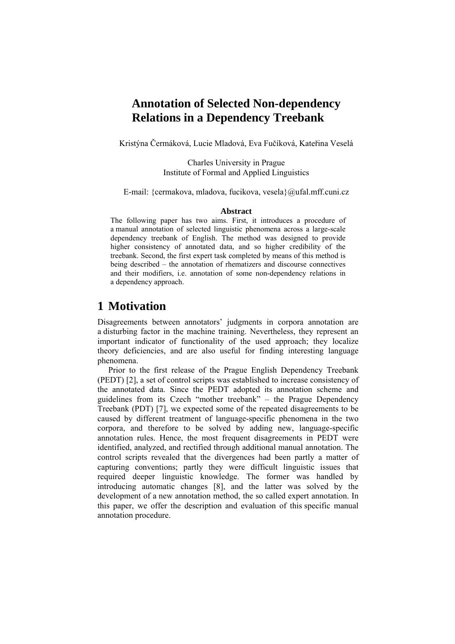## **Annotation of Selected Non-dependency Relations in a Dependency Treebank**

Kristýna Čermáková, Lucie Mladová, Eva Fučíková, Kateřina Veselá

Charles University in Prague Institute of Formal and Applied Linguistics

E-mail: {cermakova, mladova, fucikova, [vesela}@ufal.mff.cuni.cz](mailto:vesela%7D@ufal.mff.cuni.cz)

#### **Abstract**

The following paper has two aims. First, it introduces a procedure of a manual annotation of selected linguistic phenomena across a large-scale dependency treebank of English. The method was designed to provide higher consistency of annotated data, and so higher credibility of the treebank. Second, the first expert task completed by means of this method is being described – the annotation of rhematizers and discourse connectives and their modifiers, i.e. annotation of some non-dependency relations in a dependency approach.

### **1 Motivation**

Disagreements between annotators' judgments in corpora annotation are a disturbing factor in the machine training. Nevertheless, they represent an important indicator of functionality of the used approach; they localize theory deficiencies, and are also useful for finding interesting language phenomena.

Prior to the first release of the Prague English Dependency Treebank (PEDT) [2], a set of control scripts was established to increase consistency of the annotated data. Since the PEDT adopted its annotation scheme and guidelines from its Czech "mother treebank" – the Prague Dependency Treebank (PDT) [7], we expected some of the repeated disagreements to be caused by different treatment of language-specific phenomena in the two corpora, and therefore to be solved by adding new, language-specific annotation rules. Hence, the most frequent disagreements in PEDT were identified, analyzed, and rectified through additional manual annotation. The control scripts revealed that the divergences had been partly a matter of capturing conventions; partly they were difficult linguistic issues that required deeper linguistic knowledge. The former was handled by introducing automatic changes [8], and the latter was solved by the development of a new annotation method, the so called expert annotation. In this paper, we offer the description and evaluation of this specific manual annotation procedure.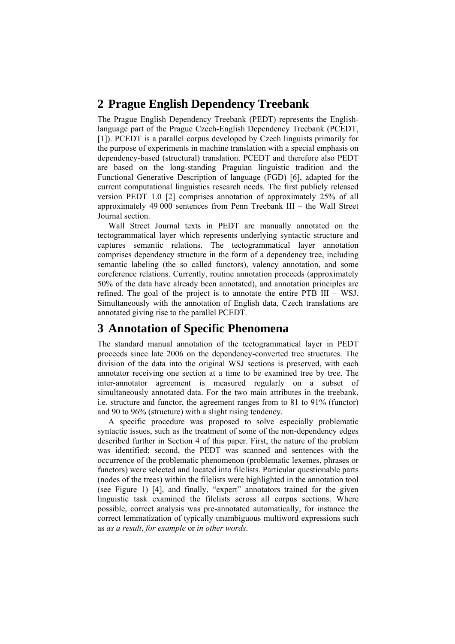## **2 Prague English Dependency Treebank**

The Prague English Dependency Treebank (PEDT) represents the Englishlanguage part of the Prague Czech-English Dependency Treebank (PCEDT, [1]). PCEDT is a parallel corpus developed by Czech linguists primarily for the purpose of experiments in machine translation with a special emphasis on dependency-based (structural) translation. PCEDT and therefore also PEDT are based on the long-standing Praguian linguistic tradition and the Functional Generative Description of language (FGD) [6], adapted for the current computational linguistics research needs. The first publicly released version PEDT 1.0 [2] comprises annotation of approximately 25% of all approximately 49 000 sentences from Penn Treebank III – the Wall Street Journal section.

Wall Street Journal texts in PEDT are manually annotated on the [tectogrammatical](http://ufal.mff.cuni.cz/pedt/tecto.html) layer which represents underlying syntactic structure and captures semantic relations. The tectogrammatical layer annotation comprises dependency structure in the form of a dependency tree, including semantic labeling (the so called functors), valency annotation, and some coreference relations. Currently, routine annotation proceeds (approximately 50% of the data have already been annotated), and annotation principles are refined. The goal of the project is to annotate the entire PTB III – WSJ. Simultaneously with the annotation of English data, Czech translations are annotated giving rise to the parallel PCEDT.

# **3 Annotation of Specific Phenomena**

The standard manual annotation of the tectogrammatical layer in PEDT proceeds since late 2006 on the dependency-converted tree structures. The division of the data into the original WSJ sections is preserved, with each annotator receiving one section at a time to be examined tree by tree. The inter-annotator agreement is measured regularly on a subset of simultaneously annotated data. For the two main attributes in the treebank, i.e. structure and functor, the agreement ranges from to 81 to 91% (functor) and 90 to 96% (structure) with a slight rising tendency.

A specific procedure was proposed to solve especially problematic syntactic issues, such as the treatment of some of the non-dependency edges described further in Section 4 of this paper. First, the nature of the problem was identified; second, the PEDT was scanned and sentences with the occurrence of the problematic phenomenon (problematic lexemes, phrases or functors) were selected and located into filelists. Particular questionable parts (nodes of the trees) within the filelists were highlighted in the annotation tool (see Figure 1) [4], and finally, "expert" annotators trained for the given linguistic task examined the filelists across all corpus sections. Where possible, correct analysis was pre-annotated automatically, for instance the correct lemmatization of typically unambiguous multiword expressions such as *as a result*, *for example* or *in other words*.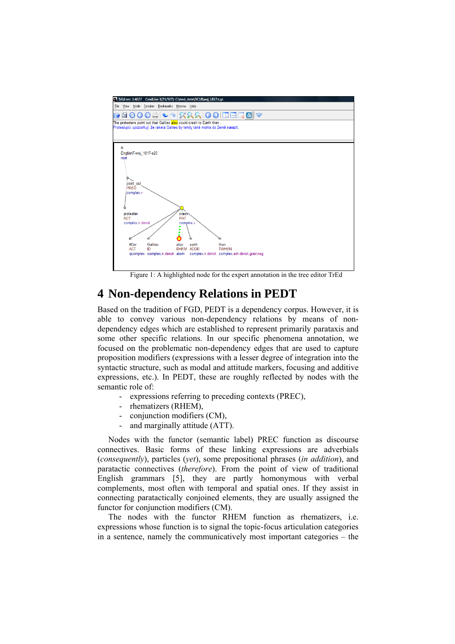

Figure 1: A highlighted node for the expert annotation in the tree editor TrEd

### **4 Non-dependency Relations in PEDT**

Based on the tradition of FGD, PEDT is a dependency corpus. However, it is able to convey various non-dependency relations by means of nondependency edges which are established to represent primarily parataxis and some other specific relations. In our specific phenomena annotation, we focused on the problematic non-dependency edges that are used to capture proposition modifiers (expressions with a lesser degree of integration into the syntactic structure, such as modal and attitude markers, focusing and additive expressions, etc.). In PEDT, these are roughly reflected by nodes with the semantic role of:

- expressions referring to preceding contexts (PREC),
- rhematizers (RHEM),
- conjunction modifiers (CM),
- and marginally attitude (ATT).

Nodes with the functor (semantic label) PREC function as discourse connectives. Basic forms of these linking expressions are adverbials (*consequently*), particles (*yet*), some prepositional phrases (*in addition*), and paratactic connectives (*therefore*). From the point of view of traditional English grammars [5], they are partly homonymous with verbal complements, most often with temporal and spatial ones. If they assist in connecting paratactically conjoined elements, they are usually assigned the functor for conjunction modifiers (CM).

The nodes with the functor RHEM function as rhematizers, i.e. expressions whose function is to signal the topic-focus articulation categories in a sentence, namely the communicatively most important categories – the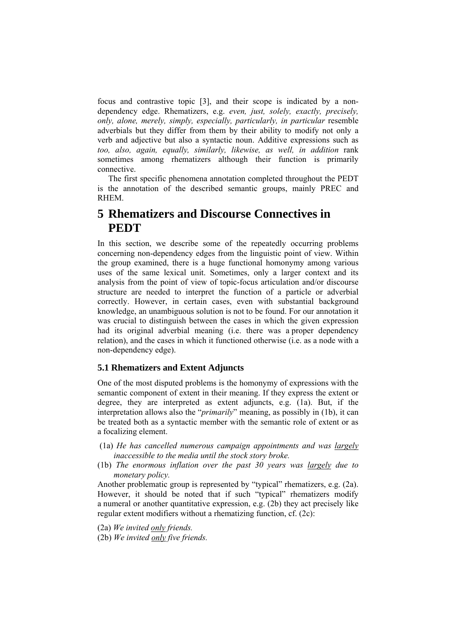focus and contrastive topic [3], and their scope is indicated by a nondependency edge. Rhematizers, e.g. *even, just, solely, exactly, precisely, only, alone, merely, simply, especially, particularly, in particular* resemble adverbials but they differ from them by their ability to modify not only a verb and adjective but also a syntactic noun. Additive expressions such as *too, also, again, equally, similarly, likewise, as well, in addition* rank sometimes among rhematizers although their function is primarily connective.

The first specific phenomena annotation completed throughout the PEDT is the annotation of the described semantic groups, mainly PREC and **RHEM** 

## **5 Rhematizers and Discourse Connectives in PEDT**

In this section, we describe some of the repeatedly occurring problems concerning non-dependency edges from the linguistic point of view. Within the group examined, there is a huge functional homonymy among various uses of the same lexical unit. Sometimes, only a larger context and its analysis from the point of view of topic-focus articulation and/or discourse structure are needed to interpret the function of a particle or adverbial correctly. However, in certain cases, even with substantial background knowledge, an unambiguous solution is not to be found. For our annotation it was crucial to distinguish between the cases in which the given expression had its original adverbial meaning (i.e. there was a proper dependency relation), and the cases in which it functioned otherwise (i.e. as a node with a non-dependency edge).

#### **5.1 Rhematizers and Extent Adjuncts**

One of the most disputed problems is the homonymy of expressions with the semantic component of extent in their meaning. If they express the extent or degree, they are interpreted as extent adjuncts, e.g. (1a). But, if the interpretation allows also the "*primarily*" meaning, as possibly in (1b), it can be treated both as a syntactic member with the semantic role of extent or as a focalizing element.

- (1a) *He has cancelled numerous campaign appointments and was largely inaccessible to the media until the stock story broke.*
- (1b) *The enormous inflation over the past 30 years was largely due to monetary policy.*

Another problematic group is represented by "typical" rhematizers, e.g. (2a). However, it should be noted that if such "typical" rhematizers modify a numeral or another quantitative expression, e.g. (2b) they act precisely like regular extent modifiers without a rhematizing function, cf. (2c):

- (2a) *We invited only friends.*
- (2b) *We invited only five friends.*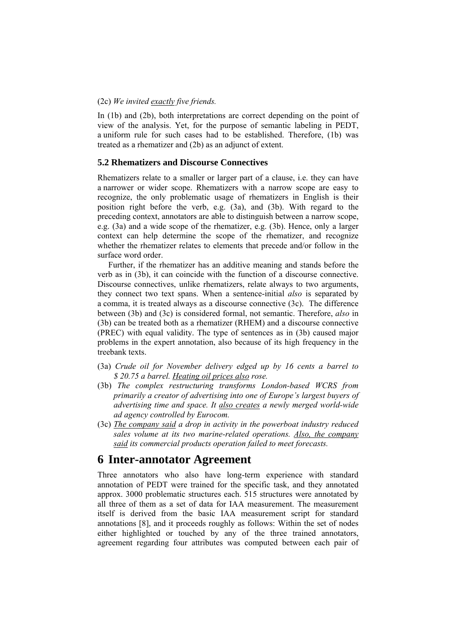#### (2c) *We invited exactly five friends.*

In (1b) and (2b), both interpretations are correct depending on the point of view of the analysis. Yet, for the purpose of semantic labeling in PEDT, a uniform rule for such cases had to be established. Therefore, (1b) was treated as a rhematizer and (2b) as an adjunct of extent.

#### **5.2 Rhematizers and Discourse Connectives**

Rhematizers relate to a smaller or larger part of a clause, i.e. they can have a narrower or wider scope. Rhematizers with a narrow scope are easy to recognize, the only problematic usage of rhematizers in English is their position right before the verb, e.g. (3a), and (3b). With regard to the preceding context, annotators are able to distinguish between a narrow scope, e.g. (3a) and a wide scope of the rhematizer, e.g. (3b). Hence, only a larger context can help determine the scope of the rhematizer, and recognize whether the rhematizer relates to elements that precede and/or follow in the surface word order.

Further, if the rhematizer has an additive meaning and stands before the verb as in (3b), it can coincide with the function of a discourse connective. Discourse connectives, unlike rhematizers, relate always to two arguments, they connect two text spans. When a sentence-initial *also* is separated by a comma, it is treated always as a discourse connective (3c). The difference between (3b) and (3c) is considered formal, not semantic. Therefore, *also* in (3b) can be treated both as a rhematizer (RHEM) and a discourse connective (PREC) with equal validity. The type of sentences as in (3b) caused major problems in the expert annotation, also because of its high frequency in the treebank texts.

- (3a) *Crude oil for November delivery edged up by 16 cents a barrel to \$ 20.75 a barrel. Heating oil prices also rose.*
- (3b) *The complex restructuring transforms London-based WCRS from primarily a creator of advertising into one of Europe's largest buyers of advertising time and space. It also creates a newly merged world-wide ad agency controlled by Eurocom.*
- (3c) *The company said a drop in activity in the powerboat industry reduced sales volume at its two marine-related operations. Also, the company said its commercial products operation failed to meet forecasts.*

### **6 Inter-annotator Agreement**

Three annotators who also have long-term experience with standard annotation of PEDT were trained for the specific task, and they annotated approx. 3000 problematic structures each. 515 structures were annotated by all three of them as a set of data for IAA measurement. The measurement itself is derived from the basic IAA measurement script for standard annotations [8], and it proceeds roughly as follows: Within the set of nodes either highlighted or touched by any of the three trained annotators, agreement regarding four attributes was computed between each pair of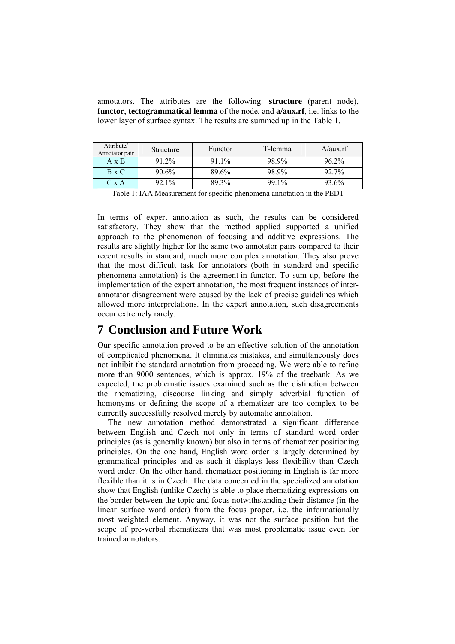annotators. The attributes are the following: **structure** (parent node), **functor**, **tectogrammatical lemma** of the node, and **a/aux.rf**, i.e. links to the lower layer of surface syntax. The results are summed up in the Table 1.

| Attribute/<br>Annotator pair | Structure | Functor  | T-lemma | A/aux.rf |
|------------------------------|-----------|----------|---------|----------|
| $A \times B$                 | 91.2%     | $91.1\%$ | 98.9%   | $96.2\%$ |
| $B \times C$                 | 90.6%     | 89.6%    | 98.9%   | 92.7%    |
| C x A                        | $92.1\%$  | 89.3%    | 99.1%   | 93.6%    |

Table 1: IAA Measurement for specific phenomena annotation in the PEDT

In terms of expert annotation as such, the results can be considered satisfactory. They show that the method applied supported a unified approach to the phenomenon of focusing and additive expressions. The results are slightly higher for the same two annotator pairs compared to their recent results in standard, much more complex annotation. They also prove that the most difficult task for annotators (both in standard and specific phenomena annotation) is the agreement in functor. To sum up, before the implementation of the expert annotation, the most frequent instances of interannotator disagreement were caused by the lack of precise guidelines which allowed more interpretations. In the expert annotation, such disagreements occur extremely rarely.

### **7 Conclusion and Future Work**

Our specific annotation proved to be an effective solution of the annotation of complicated phenomena. It eliminates mistakes, and simultaneously does not inhibit the standard annotation from proceeding. We were able to refine more than 9000 sentences, which is approx. 19% of the treebank. As we expected, the problematic issues examined such as the distinction between the rhematizing, discourse linking and simply adverbial function of homonyms or defining the scope of a rhematizer are too complex to be currently successfully resolved merely by automatic annotation.

The new annotation method demonstrated a significant difference between English and Czech not only in terms of standard word order principles (as is generally known) but also in terms of rhematizer positioning principles. On the one hand, English word order is largely determined by grammatical principles and as such it displays less flexibility than Czech word order. On the other hand, rhematizer positioning in English is far more flexible than it is in Czech. The data concerned in the specialized annotation show that English (unlike Czech) is able to place rhematizing expressions on the border between the topic and focus notwithstanding their distance (in the linear surface word order) from the focus proper, i.e. the informationally most weighted element. Anyway, it was not the surface position but the scope of pre-verbal rhematizers that was most problematic issue even for trained annotators.